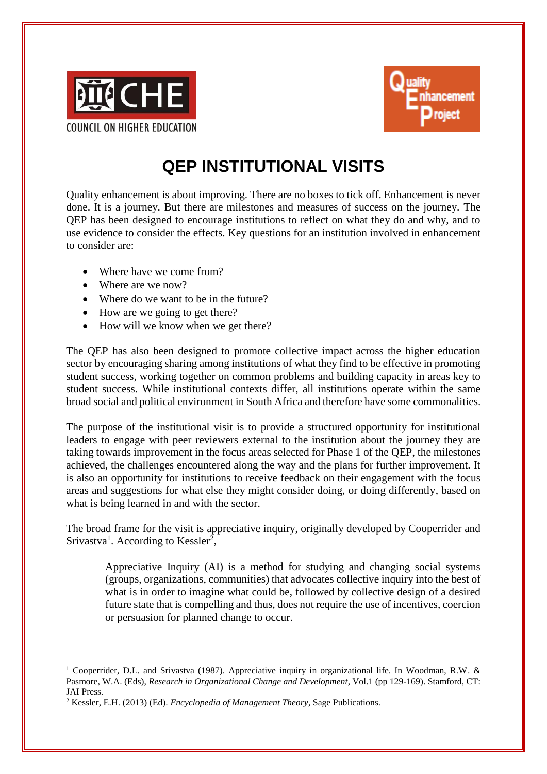



## **QEP INSTITUTIONAL VISITS**

Quality enhancement is about improving. There are no boxes to tick off. Enhancement is never done. It is a journey. But there are milestones and measures of success on the journey. The QEP has been designed to encourage institutions to reflect on what they do and why, and to use evidence to consider the effects. Key questions for an institution involved in enhancement to consider are:

- Where have we come from?
- Where are we now?

1

- Where do we want to be in the future?
- How are we going to get there?
- How will we know when we get there?

The QEP has also been designed to promote collective impact across the higher education sector by encouraging sharing among institutions of what they find to be effective in promoting student success, working together on common problems and building capacity in areas key to student success. While institutional contexts differ, all institutions operate within the same broad social and political environment in South Africa and therefore have some commonalities.

The purpose of the institutional visit is to provide a structured opportunity for institutional leaders to engage with peer reviewers external to the institution about the journey they are taking towards improvement in the focus areas selected for Phase 1 of the QEP, the milestones achieved, the challenges encountered along the way and the plans for further improvement. It is also an opportunity for institutions to receive feedback on their engagement with the focus areas and suggestions for what else they might consider doing, or doing differently, based on what is being learned in and with the sector.

The broad frame for the visit is appreciative inquiry, originally developed by Cooperrider and Srivastva<sup>1</sup>. According to Kessler<sup>2</sup>,

Appreciative Inquiry (AI) is a method for studying and changing social systems (groups, organizations, communities) that advocates collective inquiry into the best of what is in order to imagine what could be, followed by collective design of a desired future state that is compelling and thus, does not require the use of incentives, coercion or persuasion for planned change to occur.

<sup>1</sup> Cooperrider, D.L. and Srivastva (1987). Appreciative inquiry in organizational life. In Woodman, R.W. & Pasmore, W.A. (Eds), *Research in Organizational Change and Development*, Vol.1 (pp 129-169). Stamford, CT: JAI Press.

<sup>2</sup> Kessler, E.H. (2013) (Ed). *Encyclopedia of Management Theory*, Sage Publications.